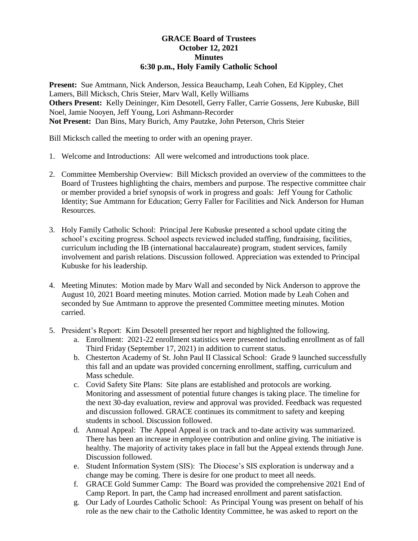## **GRACE Board of Trustees October 12, 2021 Minutes 6:30 p.m., Holy Family Catholic School**

**Present:** Sue Amtmann, Nick Anderson, Jessica Beauchamp, Leah Cohen, Ed Kippley, Chet Lamers, Bill Micksch, Chris Steier, Marv Wall, Kelly Williams **Others Present:** Kelly Deininger, Kim Desotell, Gerry Faller, Carrie Gossens, Jere Kubuske, Bill Noel, Jamie Nooyen, Jeff Young, Lori Ashmann-Recorder **Not Present:** Dan Bins, Mary Burich, Amy Pautzke, John Peterson, Chris Steier

Bill Micksch called the meeting to order with an opening prayer.

- 1. Welcome and Introductions: All were welcomed and introductions took place.
- 2. Committee Membership Overview: Bill Micksch provided an overview of the committees to the Board of Trustees highlighting the chairs, members and purpose. The respective committee chair or member provided a brief synopsis of work in progress and goals: Jeff Young for Catholic Identity; Sue Amtmann for Education; Gerry Faller for Facilities and Nick Anderson for Human Resources.
- 3. Holy Family Catholic School: Principal Jere Kubuske presented a school update citing the school's exciting progress. School aspects reviewed included staffing, fundraising, facilities, curriculum including the IB (international baccalaureate) program, student services, family involvement and parish relations. Discussion followed. Appreciation was extended to Principal Kubuske for his leadership.
- 4. Meeting Minutes: Motion made by Marv Wall and seconded by Nick Anderson to approve the August 10, 2021 Board meeting minutes. Motion carried. Motion made by Leah Cohen and seconded by Sue Amtmann to approve the presented Committee meeting minutes. Motion carried.
- 5. President's Report: Kim Desotell presented her report and highlighted the following.
	- a. Enrollment: 2021-22 enrollment statistics were presented including enrollment as of fall Third Friday (September 17, 2021) in addition to current status.
	- b. Chesterton Academy of St. John Paul II Classical School: Grade 9 launched successfully this fall and an update was provided concerning enrollment, staffing, curriculum and Mass schedule.
	- c. Covid Safety Site Plans: Site plans are established and protocols are working. Monitoring and assessment of potential future changes is taking place. The timeline for the next 30-day evaluation, review and approval was provided. Feedback was requested and discussion followed. GRACE continues its commitment to safety and keeping students in school. Discussion followed.
	- d. Annual Appeal: The Appeal Appeal is on track and to-date activity was summarized. There has been an increase in employee contribution and online giving. The initiative is healthy. The majority of activity takes place in fall but the Appeal extends through June. Discussion followed.
	- e. Student Information System (SIS): The Diocese's SIS exploration is underway and a change may be coming. There is desire for one product to meet all needs.
	- f. GRACE Gold Summer Camp: The Board was provided the comprehensive 2021 End of Camp Report. In part, the Camp had increased enrollment and parent satisfaction.
	- g. Our Lady of Lourdes Catholic School: As Principal Young was present on behalf of his role as the new chair to the Catholic Identity Committee, he was asked to report on the